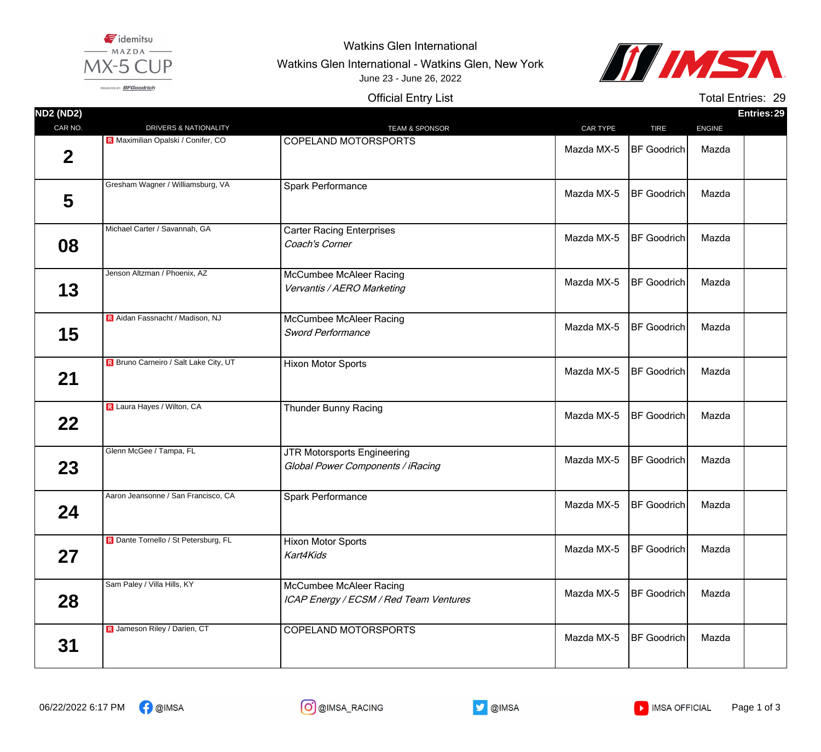

## Watkins Glen International

Watkins Glen International - Watkins Glen, New York June 23 - June 26, 2022



PRESENTED BY: BFGoodrich

## Official Entry List

Total Entries: 29

| <b>ND2 (ND2)</b> |                                              |                                                                         |            |                    |               | Entries: 29 |
|------------------|----------------------------------------------|-------------------------------------------------------------------------|------------|--------------------|---------------|-------------|
| CAR NO.          | DRIVERS & NATIONALITY                        | <b>TEAM &amp; SPONSOR</b>                                               | CAR TYPE   | <b>TIRE</b>        | <b>ENGINE</b> |             |
| $\boldsymbol{2}$ | R Maximilian Opalski / Conifer, CO           | <b>COPELAND MOTORSPORTS</b>                                             | Mazda MX-5 | <b>BF</b> Goodrich | Mazda         |             |
| 5                | Gresham Wagner / Williamsburg, VA            | Spark Performance                                                       | Mazda MX-5 | <b>BF</b> Goodrich | Mazda         |             |
| 08               | Michael Carter / Savannah, GA                | <b>Carter Racing Enterprises</b><br>Coach's Corner                      | Mazda MX-5 | <b>BF</b> Goodrich | Mazda         |             |
| 13               | Jenson Altzman / Phoenix, AZ                 | McCumbee McAleer Racing<br>Vervantis / AERO Marketing                   | Mazda MX-5 | <b>BF Goodrich</b> | Mazda         |             |
| 15               | <b>R</b> Aidan Fassnacht / Madison, NJ       | McCumbee McAleer Racing<br><b>Sword Performance</b>                     | Mazda MX-5 | <b>BF</b> Goodrich | Mazda         |             |
| 21               | <b>R</b> Bruno Carneiro / Salt Lake City, UT | <b>Hixon Motor Sports</b>                                               | Mazda MX-5 | <b>BF</b> Goodrich | Mazda         |             |
| $22 \,$          | R Laura Hayes / Wilton, CA                   | <b>Thunder Bunny Racing</b>                                             | Mazda MX-5 | <b>BF Goodrich</b> | Mazda         |             |
| 23               | Glenn McGee / Tampa, FL                      | <b>JTR Motorsports Engineering</b><br>Global Power Components / iRacing | Mazda MX-5 | <b>BF</b> Goodrich | Mazda         |             |
| 24               | Aaron Jeansonne / San Francisco, CA          | <b>Spark Performance</b>                                                | Mazda MX-5 | <b>BF Goodrich</b> | Mazda         |             |
| 27               | R Dante Tornello / St Petersburg, FL         | <b>Hixon Motor Sports</b><br>Kart4Kids                                  | Mazda MX-5 | <b>BF</b> Goodrich | Mazda         |             |
| 28               | Sam Paley / Villa Hills, KY                  | McCumbee McAleer Racing<br>ICAP Energy / ECSM / Red Team Ventures       | Mazda MX-5 | <b>BF</b> Goodrich | Mazda         |             |
| 31               | R Jameson Riley / Darien, CT                 | COPELAND MOTORSPORTS                                                    | Mazda MX-5 | <b>BF</b> Goodrich | Mazda         |             |





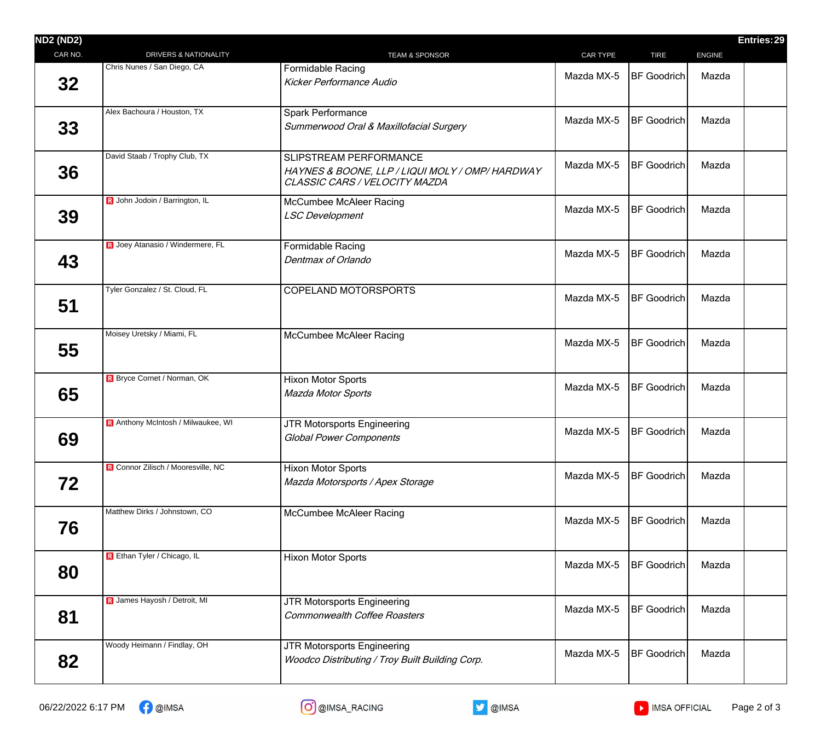| <b>DRIVERS &amp; NATIONALITY</b>   | <b>TEAM &amp; SPONSOR</b>                                                                                  | CAR TYPE   | <b>TIRE</b>        |                    |  |
|------------------------------------|------------------------------------------------------------------------------------------------------------|------------|--------------------|--------------------|--|
|                                    |                                                                                                            |            |                    | <b>ENGINE</b>      |  |
|                                    | <b>Formidable Racing</b><br><b>Kicker Performance Audio</b>                                                | Mazda MX-5 |                    | Mazda              |  |
| Alex Bachoura / Houston, TX        | Spark Performance<br>Summerwood Oral & Maxillofacial Surgery                                               | Mazda MX-5 | <b>BF</b> Goodrich | Mazda              |  |
| David Staab / Trophy Club, TX      | SLIPSTREAM PERFORMANCE<br>HAYNES & BOONE, LLP / LIQUI MOLY / OMP/ HARDWAY<br>CLASSIC CARS / VELOCITY MAZDA | Mazda MX-5 | BF Goodrich        | Mazda              |  |
| R John Jodoin / Barrington, IL     | <b>McCumbee McAleer Racing</b><br><b>LSC Development</b>                                                   | Mazda MX-5 | BF Goodrich        | Mazda              |  |
| R Joey Atanasio / Windermere, FL   | <b>Formidable Racing</b><br>Dentmax of Orlando                                                             | Mazda MX-5 | <b>BF</b> Goodrich | Mazda              |  |
| Tyler Gonzalez / St. Cloud, FL     | <b>COPELAND MOTORSPORTS</b>                                                                                | Mazda MX-5 | <b>BF</b> Goodrich | Mazda              |  |
| Moisey Uretsky / Miami, FL         | McCumbee McAleer Racing                                                                                    | Mazda MX-5 | <b>BF</b> Goodrich | Mazda              |  |
| R Bryce Cornet / Norman, OK        | <b>Hixon Motor Sports</b><br><b>Mazda Motor Sports</b>                                                     | Mazda MX-5 | <b>BF</b> Goodrich | Mazda              |  |
| R Anthony McIntosh / Milwaukee, WI | JTR Motorsports Engineering<br><b>Global Power Components</b>                                              | Mazda MX-5 | <b>BF</b> Goodrich | Mazda              |  |
| R Connor Zilisch / Mooresville, NC | <b>Hixon Motor Sports</b><br>Mazda Motorsports / Apex Storage                                              | Mazda MX-5 | <b>BF</b> Goodrich | Mazda              |  |
| Matthew Dirks / Johnstown, CO      | McCumbee McAleer Racing                                                                                    | Mazda MX-5 | <b>BF Goodrich</b> | Mazda              |  |
| R Ethan Tyler / Chicago, IL        | Hixon Motor Sports                                                                                         | Mazda MX-5 | <b>BF Goodrich</b> | Mazda              |  |
| R James Hayosh / Detroit, MI       | JTR Motorsports Engineering<br><b>Commonwealth Coffee Roasters</b>                                         | Mazda MX-5 | <b>BF</b> Goodrich | Mazda              |  |
| Woody Heimann / Findlay, OH        | JTR Motorsports Engineering<br>Woodco Distributing / Troy Built Building Corp.                             | Mazda MX-5 | <b>BF</b> Goodrich | Mazda              |  |
|                                    | Chris Nunes / San Diego, CA                                                                                |            |                    | <b>BF</b> Goodrich |  |